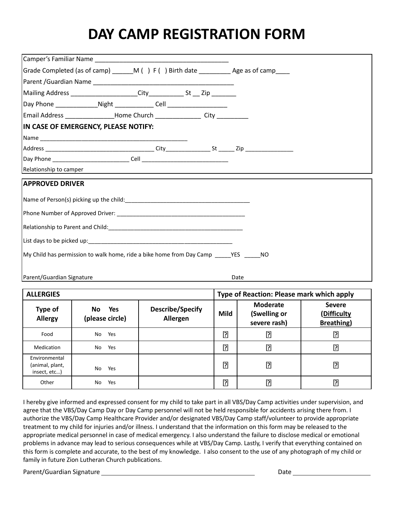## **DAY CAMP REGISTRATION FORM**

| Email Address _________________Home Church _________________City ______________                                                                                                                                                |  |      |  |  |  |  |  |  |
|--------------------------------------------------------------------------------------------------------------------------------------------------------------------------------------------------------------------------------|--|------|--|--|--|--|--|--|
| IN CASE OF EMERGENCY, PLEASE NOTIFY:                                                                                                                                                                                           |  |      |  |  |  |  |  |  |
|                                                                                                                                                                                                                                |  |      |  |  |  |  |  |  |
|                                                                                                                                                                                                                                |  |      |  |  |  |  |  |  |
|                                                                                                                                                                                                                                |  |      |  |  |  |  |  |  |
| Relationship to camper                                                                                                                                                                                                         |  |      |  |  |  |  |  |  |
| <b>APPROVED DRIVER</b>                                                                                                                                                                                                         |  |      |  |  |  |  |  |  |
| Name of Person(s) picking up the child: Name of Person (s)                                                                                                                                                                     |  |      |  |  |  |  |  |  |
|                                                                                                                                                                                                                                |  |      |  |  |  |  |  |  |
| Relationship to Parent and Child: Note that the state of the state of the state of the state of the state of the state of the state of the state of the state of the state of the state of the state of the state of the state |  |      |  |  |  |  |  |  |
|                                                                                                                                                                                                                                |  |      |  |  |  |  |  |  |
| My Child has permission to walk home, ride a bike home from Day Camp YES NO                                                                                                                                                    |  |      |  |  |  |  |  |  |
| Parent/Guardian Signature                                                                                                                                                                                                      |  | Date |  |  |  |  |  |  |

| <b>ALLERGIES</b>                                 |                                            |                              |                | Type of Reaction: Please mark which apply       |                                                    |  |  |
|--------------------------------------------------|--------------------------------------------|------------------------------|----------------|-------------------------------------------------|----------------------------------------------------|--|--|
| Type of<br><b>Allergy</b>                        | <b>Yes</b><br><b>No</b><br>(please circle) | Describe/Specify<br>Allergen | Mild           | <b>Moderate</b><br>(Swelling or<br>severe rash) | <b>Severe</b><br>(Difficulty<br><b>Breathing</b> ) |  |  |
| Food                                             | No<br>Yes                                  |                              | ?              | <u>P</u>                                        | ₽                                                  |  |  |
| Medication                                       | Yes<br>No                                  |                              | ?              | $\overline{?}$                                  | ြု                                                 |  |  |
| Environmental<br>(animal, plant,<br>insect, etc) | No<br>Yes                                  |                              | $\overline{?}$ | $\overline{2}$                                  | ?                                                  |  |  |
| Other                                            | Yes<br>No                                  |                              | ?              | $\overline{2}$                                  | ဨ                                                  |  |  |

I hereby give informed and expressed consent for my child to take part in all VBS/Day Camp activities under supervision, and agree that the VBS/Day Camp Day or Day Camp personnel will not be held responsible for accidents arising there from. I authorize the VBS/Day Camp Healthcare Provider and/or designated VBS/Day Camp staff/volunteer to provide appropriate treatment to my child for injuries and/or illness. I understand that the information on this form may be released to the appropriate medical personnel in case of medical emergency. I also understand the failure to disclose medical or emotional problems in advance may lead to serious consequences while at VBS/Day Camp. Lastly, I verify that everything contained on this form is complete and accurate, to the best of my knowledge. I also consent to the use of any photograph of my child or family in future Zion Lutheran Church publications.

Parent/Guardian Signature Date